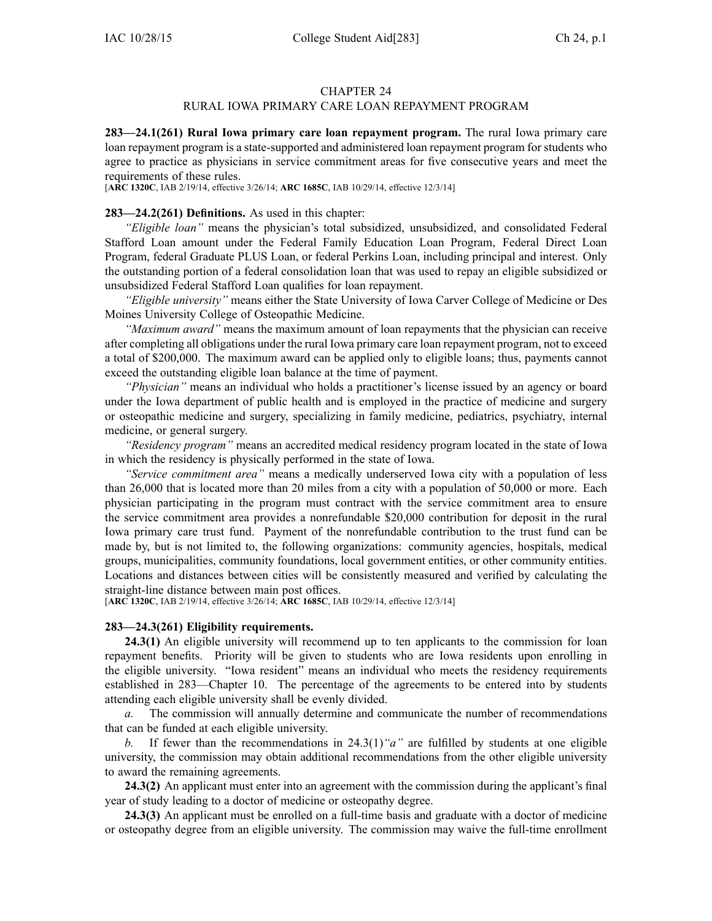## CHAPTER 24

# RURAL IOWA PRIMARY CARE LOAN REPAYMENT PROGRAM

**283—24.1(261) Rural Iowa primary care loan repaymen<sup>t</sup> program.** The rural Iowa primary care loan repaymen<sup>t</sup> program is <sup>a</sup> state-supported and administered loan repaymen<sup>t</sup> program for students who agree to practice as physicians in service commitment areas for five consecutive years and meet the requirements of these rules.

[**ARC 1320C**, IAB 2/19/14, effective 3/26/14; **ARC 1685C**, IAB 10/29/14, effective 12/3/14]

### **283—24.2(261) Definitions.** As used in this chapter:

*"Eligible loan"* means the physician's total subsidized, unsubsidized, and consolidated Federal Stafford Loan amount under the Federal Family Education Loan Program, Federal Direct Loan Program, federal Graduate PLUS Loan, or federal Perkins Loan, including principal and interest. Only the outstanding portion of <sup>a</sup> federal consolidation loan that was used to repay an eligible subsidized or unsubsidized Federal Stafford Loan qualifies for loan repayment.

*"Eligible university"* means either the State University of Iowa Carver College of Medicine or Des Moines University College of Osteopathic Medicine.

*"Maximum award"* means the maximum amount of loan repayments that the physician can receive after completing all obligations under the rural Iowa primary care loan repaymen<sup>t</sup> program, not to exceed <sup>a</sup> total of \$200,000. The maximum award can be applied only to eligible loans; thus, payments cannot exceed the outstanding eligible loan balance at the time of payment.

*"Physician"* means an individual who holds <sup>a</sup> practitioner's license issued by an agency or board under the Iowa department of public health and is employed in the practice of medicine and surgery or osteopathic medicine and surgery, specializing in family medicine, pediatrics, psychiatry, internal medicine, or general surgery.

*"Residency program"* means an accredited medical residency program located in the state of Iowa in which the residency is physically performed in the state of Iowa.

*"Service commitment area"* means <sup>a</sup> medically underserved Iowa city with <sup>a</sup> population of less than 26,000 that is located more than 20 miles from <sup>a</sup> city with <sup>a</sup> population of 50,000 or more. Each physician participating in the program must contract with the service commitment area to ensure the service commitment area provides <sup>a</sup> nonrefundable \$20,000 contribution for deposit in the rural Iowa primary care trust fund. Payment of the nonrefundable contribution to the trust fund can be made by, but is not limited to, the following organizations: community agencies, hospitals, medical groups, municipalities, community foundations, local governmen<sup>t</sup> entities, or other community entities. Locations and distances between cities will be consistently measured and verified by calculating the straight-line distance between main pos<sup>t</sup> offices.

[**ARC 1320C**, IAB 2/19/14, effective 3/26/14; **ARC 1685C**, IAB 10/29/14, effective 12/3/14]

## **283—24.3(261) Eligibility requirements.**

**24.3(1)** An eligible university will recommend up to ten applicants to the commission for loan repaymen<sup>t</sup> benefits. Priority will be given to students who are Iowa residents upon enrolling in the eligible university. "Iowa resident" means an individual who meets the residency requirements established in 283—Chapter 10. The percentage of the agreements to be entered into by students attending each eligible university shall be evenly divided.

*a.* The commission will annually determine and communicate the number of recommendations that can be funded at each eligible university.

*b.* If fewer than the recommendations in 24.3(1) "*a*" are fulfilled by students at one eligible university, the commission may obtain additional recommendations from the other eligible university to award the remaining agreements.

**24.3(2)** An applicant must enter into an agreemen<sup>t</sup> with the commission during the applicant's final year of study leading to <sup>a</sup> doctor of medicine or osteopathy degree.

**24.3(3)** An applicant must be enrolled on <sup>a</sup> full-time basis and graduate with <sup>a</sup> doctor of medicine or osteopathy degree from an eligible university. The commission may waive the full-time enrollment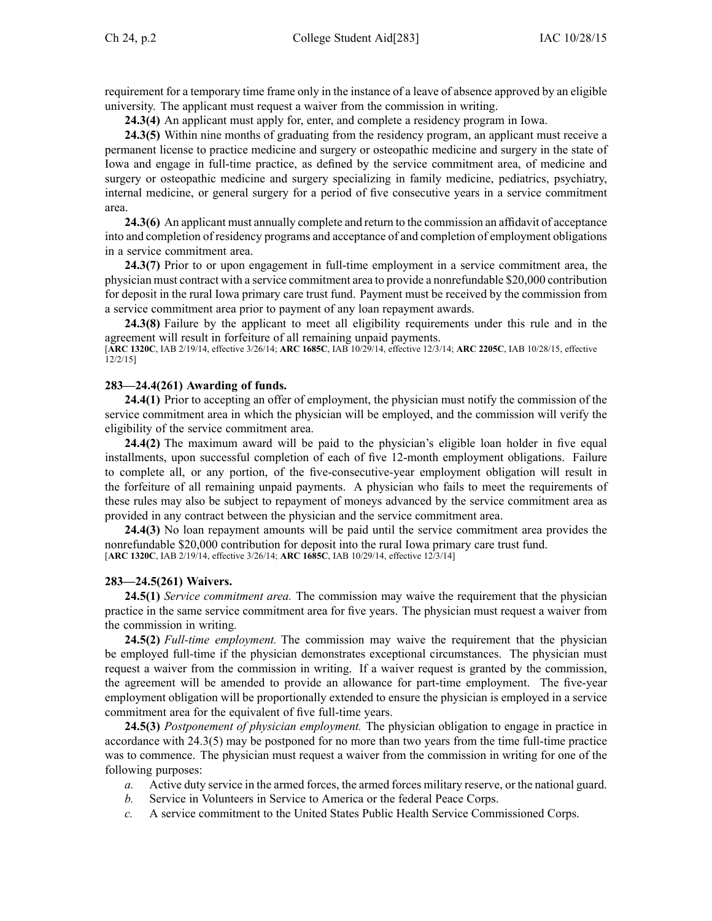requirement for <sup>a</sup> temporary time frame only in the instance of <sup>a</sup> leave of absence approved by an eligible university. The applicant must reques<sup>t</sup> <sup>a</sup> waiver from the commission in writing.

**24.3(4)** An applicant must apply for, enter, and complete <sup>a</sup> residency program in Iowa.

**24.3(5)** Within nine months of graduating from the residency program, an applicant must receive <sup>a</sup> permanen<sup>t</sup> license to practice medicine and surgery or osteopathic medicine and surgery in the state of Iowa and engage in full-time practice, as defined by the service commitment area, of medicine and surgery or osteopathic medicine and surgery specializing in family medicine, pediatrics, psychiatry, internal medicine, or general surgery for <sup>a</sup> period of five consecutive years in <sup>a</sup> service commitment area.

**24.3(6)** An applicant must annually complete and return to the commission an affidavit of acceptance into and completion of residency programs and acceptance of and completion of employment obligations in <sup>a</sup> service commitment area.

**24.3(7)** Prior to or upon engagemen<sup>t</sup> in full-time employment in <sup>a</sup> service commitment area, the physician must contract with <sup>a</sup> service commitment area to provide <sup>a</sup> nonrefundable \$20,000 contribution for deposit in the rural Iowa primary care trust fund. Payment must be received by the commission from <sup>a</sup> service commitment area prior to paymen<sup>t</sup> of any loan repaymen<sup>t</sup> awards.

**24.3(8)** Failure by the applicant to meet all eligibility requirements under this rule and in the agreemen<sup>t</sup> will result in forfeiture of all remaining unpaid payments.

[**ARC 1320C**, IAB 2/19/14, effective 3/26/14; **ARC 1685C**, IAB 10/29/14, effective 12/3/14; **ARC 2205C**, IAB 10/28/15, effective 12/2/15]

## **283—24.4(261) Awarding of funds.**

**24.4(1)** Prior to accepting an offer of employment, the physician must notify the commission of the service commitment area in which the physician will be employed, and the commission will verify the eligibility of the service commitment area.

**24.4(2)** The maximum award will be paid to the physician's eligible loan holder in five equal installments, upon successful completion of each of five 12-month employment obligations. Failure to complete all, or any portion, of the five-consecutive-year employment obligation will result in the forfeiture of all remaining unpaid payments. A physician who fails to meet the requirements of these rules may also be subject to repaymen<sup>t</sup> of moneys advanced by the service commitment area as provided in any contract between the physician and the service commitment area.

**24.4(3)** No loan repaymen<sup>t</sup> amounts will be paid until the service commitment area provides the nonrefundable \$20,000 contribution for deposit into the rural Iowa primary care trust fund. [**ARC 1320C**, IAB 2/19/14, effective 3/26/14; **ARC 1685C**, IAB 10/29/14, effective 12/3/14]

# **283—24.5(261) Waivers.**

**24.5(1)** *Service commitment area.* The commission may waive the requirement that the physician practice in the same service commitment area for five years. The physician must reques<sup>t</sup> <sup>a</sup> waiver from the commission in writing.

**24.5(2)** *Full-time employment.* The commission may waive the requirement that the physician be employed full-time if the physician demonstrates exceptional circumstances. The physician must reques<sup>t</sup> <sup>a</sup> waiver from the commission in writing. If <sup>a</sup> waiver reques<sup>t</sup> is granted by the commission, the agreemen<sup>t</sup> will be amended to provide an allowance for part-time employment. The five-year employment obligation will be proportionally extended to ensure the physician is employed in <sup>a</sup> service commitment area for the equivalent of five full-time years.

**24.5(3)** *Postponement of physician employment.* The physician obligation to engage in practice in accordance with 24.3(5) may be postponed for no more than two years from the time full-time practice was to commence. The physician must reques<sup>t</sup> <sup>a</sup> waiver from the commission in writing for one of the following purposes:

- *a.* Active duty service in the armed forces, the armed forces military reserve, or the national guard.
- *b.* Service in Volunteers in Service to America or the federal Peace Corps.
- *c.* A service commitment to the United States Public Health Service Commissioned Corps.